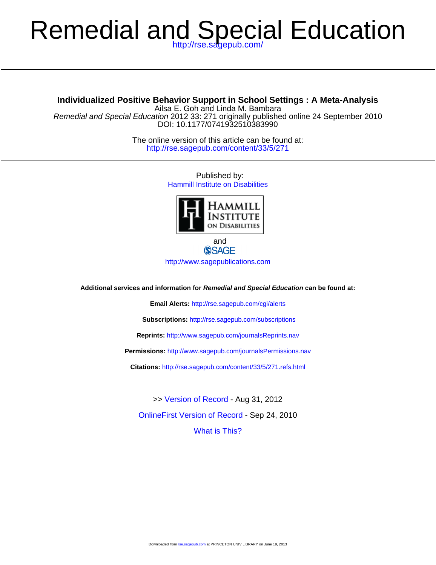# Remedial and Special Education

## Ailsa E. Goh and Linda M. Bambara **Individualized Positive Behavior Support in School Settings : A Meta-Analysis**

DOI: 10.1177/0741932510383990 Remedial and Special Education 2012 33: 271 originally published online 24 September 2010

> <http://rse.sagepub.com/content/33/5/271> The online version of this article can be found at:

> > Published by: [Hammill Institute on Disabilities](http://www.hammill-institute.org/)



and **SSAGE** <http://www.sagepublications.com>

**Additional services and information for Remedial and Special Education can be found at:**

**Email Alerts:** <http://rse.sagepub.com/cgi/alerts>

**Subscriptions:** <http://rse.sagepub.com/subscriptions>

**Reprints:** <http://www.sagepub.com/journalsReprints.nav>

**Permissions:** <http://www.sagepub.com/journalsPermissions.nav>

**Citations:** <http://rse.sagepub.com/content/33/5/271.refs.html>

[What is This?](http://online.sagepub.com/site/sphelp/vorhelp.xhtml) [OnlineFirst Version of Record](http://rse.sagepub.com/content/early/2010/09/24/0741932510383990.full.pdf) - Sep 24, 2010 >> [Version of Record -](http://rse.sagepub.com/content/33/5/271.full.pdf) Aug 31, 2012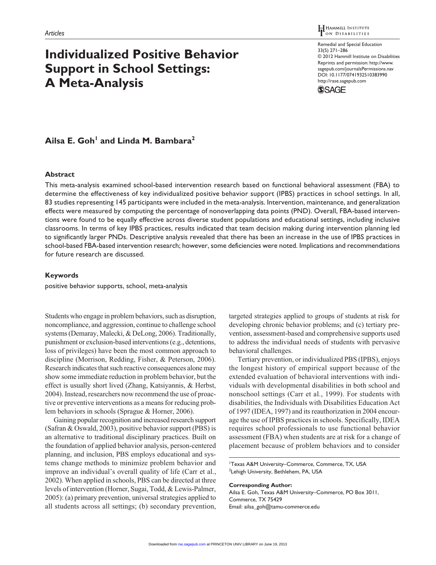## **Individualized Positive Behavior Support in School Settings: A Meta-Analysis**

H HAMMILL INSTITUTE ON DISABILITIES

Remedial and Special Education 33(5) 271–286 © 2012 Hammill Institute on Disabilities Reprints and permission: http://www. sagepub.com/journalsPermissions.nav DOI: 10.1177/0741932510383990 http://rase.sagepub.com



## **Ailsa E. Goh1 and Linda M. Bambara2**

#### **Abstract**

This meta-analysis examined school-based intervention research based on functional behavioral assessment (FBA) to determine the effectiveness of key individualized positive behavior support (IPBS) practices in school settings. In all, 83 studies representing 145 participants were included in the meta-analysis. Intervention, maintenance, and generalization effects were measured by computing the percentage of nonoverlapping data points (PND). Overall, FBA-based interventions were found to be equally effective across diverse student populations and educational settings, including inclusive classrooms. In terms of key IPBS practices, results indicated that team decision making during intervention planning led to significantly larger PNDs. Descriptive analysis revealed that there has been an increase in the use of IPBS practices in school-based FBA-based intervention research; however, some deficiencies were noted. Implications and recommendations for future research are discussed.

#### **Keywords**

positive behavior supports, school, meta-analysis

Students who engage in problem behaviors, such as disruption, noncompliance, and aggression, continue to challenge school systems (Demaray, Malecki, & DeLong, 2006). Traditionally, punishment or exclusion-based interventions (e.g., detentions, loss of privileges) have been the most common approach to discipline (Morrison, Redding, Fisher, & Peterson, 2006). Research indicates that such reactive consequences alone may show some immediate reduction in problem behavior, but the effect is usually short lived (Zhang, Katsiyannis, & Herbst, 2004). Instead, researchers now recommend the use of proactive or preventive interventions as a means for reducing problem behaviors in schools (Sprague & Horner, 2006).

Gaining popular recognition and increased research support (Safran & Oswald, 2003), positive behavior support (PBS) is an alternative to traditional disciplinary practices. Built on the foundation of applied behavior analysis, person-centered planning, and inclusion, PBS employs educational and systems change methods to minimize problem behavior and improve an individual's overall quality of life (Carr et al., 2002). When applied in schools, PBS can be directed at three levels of intervention (Horner, Sugai, Todd, & Lewis-Palmer, 2005): (a) primary prevention, universal strategies applied to all students across all settings; (b) secondary prevention,

targeted strategies applied to groups of students at risk for developing chronic behavior problems; and (c) tertiary prevention, assessment-based and comprehensive supports used to address the individual needs of students with pervasive behavioral challenges.

Tertiary prevention, or individualized PBS (IPBS), enjoys the longest history of empirical support because of the extended evaluation of behavioral interventions with individuals with developmental disabilities in both school and nonschool settings (Carr et al., 1999). For students with disabilities, the Individuals with Disabilities Education Act of 1997 (IDEA, 1997) and its reauthorization in 2004 encourage the use of IPBS practices in schools. Specifically, IDEA requires school professionals to use functional behavior assessment (FBA) when students are at risk for a change of placement because of problem behaviors and to consider

1 Texas A&M University–Commerce, Commerce, TX, USA <sup>2</sup>Lehigh University, Bethlehem, PA, USA

#### **Corresponding Author:**

Ailsa E. Goh, Texas A&M University–Commerce, PO Box 3011, Commerce, TX 75429 Email: ailsa\_goh@tamu-commerce.edu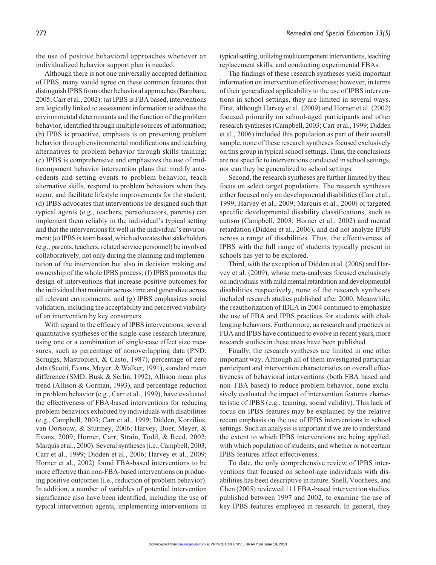the use of positive behavioral approaches whenever an individualized behavior support plan is needed.

Although there is not one universally accepted definition of IPBS, many would agree on these common features that distinguish IPBS from other behavioral approaches (Bambara, 2005; Carr et al., 2002): (a) IPBS is FBA based, interventions are logically linked to assessment information to address the environmental determinants and the function of the problem behavior, identified through multiple sources of information; (b) IPBS is proactive, emphasis is on preventing problem behavior through environmental modifications and teaching alternatives to problem behavior through skills training; (c) IPBS is comprehensive and emphasizes the use of multicomponent behavior intervention plans that modify antecedents and setting events to problem behavior, teach alternative skills, respond to problem behaviors when they occur, and facilitate lifestyle improvements for the student; (d) IPBS advocates that interventions be designed such that typical agents (e.g., teachers, paraeducators, parents) can implement them reliably in the individual's typical setting and that the interventions fit well in the individual's environment; (e) IPBS is team based, which advocates that stakeholders (e.g., parents, teachers, related service personnel) be involved collaboratively, not only during the planning and implementation of the intervention but also in decision making and ownership of the whole IPBS process; (f) IPBS promotes the design of interventions that increase positive outcomes for the individual that maintain across time and generalize across all relevant environments; and (g) IPBS emphasizes social validation, including the acceptability and perceived viability of an intervention by key consumers.

With regard to the efficacy of IPBS interventions, several quantitative syntheses of the single-case research literature, using one or a combination of single-case effect size measures, such as percentage of nonoverlapping data (PND; Scruggs, Mastropieri, & Casto, 1987), percentage of zero data (Scotti, Evans, Meyer, & Walker, 1991), standard mean difference (SMD; Busk & Serlin, 1992), Allison mean plus trend (Allison & Gorman, 1993), and percentage reduction in problem behavior (e.g., Carr et al., 1999), have evaluated the effectiveness of FBA-based interventions for reducing problem behaviors exhibited by individuals with disabilities (e.g., Campbell, 2003; Carr et al., 1999; Didden, Korzilius, van Oorsouw, & Sturmey, 2006; Harvey, Boer, Meyer, & Evans, 2009; Horner, Carr, Strain, Todd, & Reed, 2002; Marquis et al., 2000). Several syntheses (i.e., Campbell, 2003; Carr et al., 1999; Didden et al., 2006; Harvey et al., 2009; Horner et al., 2002) found FBA-based interventions to be more effective than non-FBA-based interventions on producing positive outcomes (i.e., reduction of problem behavior). In addition, a number of variables of potential intervention significance also have been identified, including the use of typical intervention agents, implementing interventions in typical setting, utilizing multicomponent interventions, teaching replacement skills, and conducting experimental FBAs.

The findings of these research syntheses yield important information on intervention effectiveness; however, in terms of their generalized applicability to the use of IPBS interventions in school settings, they are limited in several ways. First, although Harvey et al. (2009) and Horner et al. (2002) focused primarily on school-aged participants and other research syntheses (Campbell, 2003; Carr et al., 1999; Didden et al., 2006) included this population as part of their overall sample, none of these research syntheses focused exclusively on this group in typical school settings. Thus, the conclusions are not specific to interventions conducted in school settings, nor can they be generalized to school settings.

Second, the research syntheses are further limited by their focus on select target populations. The research syntheses either focused only on developmental disabilities (Carr et al., 1999; Harvey et al., 2009; Marquis et al., 2000) or targeted specific developmental disability classifications, such as autism (Campbell, 2003; Horner et al., 2002) and mental retardation (Didden et al., 2006), and did not analyze IPBS across a range of disabilities. Thus, the effectiveness of IPBS with the full range of students typically present in schools has yet to be explored.

Third, with the exception of Didden et al. (2006) and Harvey et al. (2009), whose meta-analyses focused exclusively on individuals with mild mental retardation and developmental disabilities respectively, none of the research syntheses included research studies published after 2000. Meanwhile, the reauthorization of IDEA in 2004 continued to emphasize the use of FBA and IPBS practices for students with challenging behaviors. Furthermore, as research and practices in FBA and IPBS have continued to evolve in recent years, more research studies in these areas have been published.

Finally, the research syntheses are limited in one other important way. Although all of them investigated particular participant and intervention characteristics on overall effectiveness of behavioral interventions (both FBA based and non–FBA based) to reduce problem behavior, none exclusively evaluated the impact of intervention features characteristic of IPBS (e.g., teaming, social validity). This lack of focus on IPBS features may be explained by the relative recent emphasis on the use of IPBS interventions in school settings. Such an analysis is important if we are to understand the extent to which IPBS interventions are being applied, with which population of students, and whether or not certain IPBS features affect effectiveness.

To date, the only comprehensive review of IPBS interventions that focused on school-age individuals with disabilities has been descriptive in nature. Snell, Voorhees, and Chen (2005) reviewed 111 FBA-based intervention studies, published between 1997 and 2002, to examine the use of key IPBS features employed in research. In general, they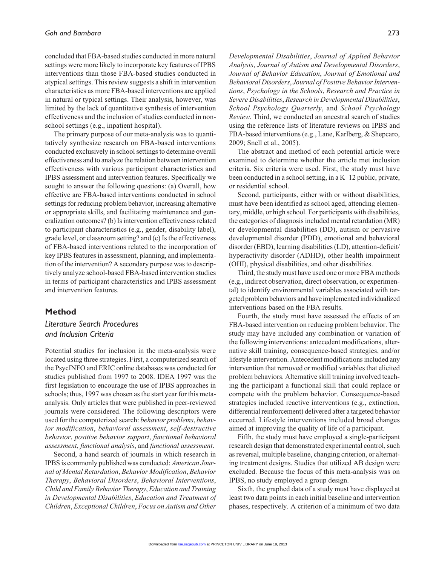concluded that FBA-based studies conducted in more natural settings were more likely to incorporate key features of IPBS interventions than those FBA-based studies conducted in atypical settings. This review suggests a shift in intervention characteristics as more FBA-based interventions are applied in natural or typical settings. Their analysis, however, was limited by the lack of quantitative synthesis of intervention effectiveness and the inclusion of studies conducted in nonschool settings (e.g., inpatient hospital).

The primary purpose of our meta-analysis was to quantitatively synthesize research on FBA-based interventions conducted exclusively in school settings to determine overall effectiveness and to analyze the relation between intervention effectiveness with various participant characteristics and IPBS assessment and intervention features. Specifically we sought to answer the following questions: (a) Overall, how effective are FBA-based interventions conducted in school settings for reducing problem behavior, increasing alternative or appropriate skills, and facilitating maintenance and generalization outcomes? (b) Is intervention effectiveness related to participant characteristics (e.g., gender, disability label), grade level, or classroom setting? and (c) Is the effectiveness of FBA-based interventions related to the incorporation of key IPBS features in assessment, planning, and implementation of the intervention? A secondary purpose was to descriptively analyze school-based FBA-based intervention studies in terms of participant characteristics and IPBS assessment and intervention features.

## **Method**

## *Literature Search Procedures and Inclusion Criteria*

Potential studies for inclusion in the meta-analysis were located using three strategies. First, a computerized search of the PsycINFO and ERIC online databases was conducted for studies published from 1997 to 2008. IDEA 1997 was the first legislation to encourage the use of IPBS approaches in schools; thus, 1997 was chosen as the start year for this metaanalysis. Only articles that were published in peer-reviewed journals were considered. The following descriptors were used for the computerized search: *behavior problems*, *behavior modification*, *behavioral assessment*, *self-destructive behavior*, *positive behavior support*, *functional behavioral assessment*, *functional analysis*, and *functional assessment*.

Second, a hand search of journals in which research in IPBS is commonly published was conducted: *American Journal of Mental Retardation*, *Behavior Modification*, *Behavior Therapy*, *Behavioral Disorders*, *Behavioral Interventions*, *Child and Family Behavior Therapy*, *Education and Training in Developmental Disabilities*, *Education and Treatment of Children*, *Exceptional Children*, *Focus on Autism and Other* 

*Developmental Disabilities*, *Journal of Applied Behavior Analysis*, *Journal of Autism and Developmental Disorders*, *Journal of Behavior Education*, *Journal of Emotional and Behavioral Disorders*, *Journal of Positive Behavior Interventions*, *Psychology in the Schools*, *Research and Practice in Severe Disabilities*, *Research in Developmental Disabilities*, *School Psychology Quarterly*, and *School Psychology Review*. Third, we conducted an ancestral search of studies using the reference lists of literature reviews on IPBS and FBA-based interventions (e.g., Lane, Karlberg, & Shepcaro, 2009; Snell et al., 2005).

The abstract and method of each potential article were examined to determine whether the article met inclusion criteria. Six criteria were used. First, the study must have been conducted in a school setting, in a K–12 public, private, or residential school.

Second, participants, either with or without disabilities, must have been identified as school aged, attending elementary, middle, or high school. For participants with disabilities, the categories of diagnosis included mental retardation (MR) or developmental disabilities (DD), autism or pervasive developmental disorder (PDD), emotional and behavioral disorder (EBD), learning disabilities (LD), attention-deficit/ hyperactivity disorder (ADHD), other health impairment (OHI), physical disabilities, and other disabilities.

Third, the study must have used one or more FBA methods (e.g., indirect observation, direct observation, or experimental) to identify environmental variables associated with targeted problem behaviors and have implemented individualized interventions based on the FBA results.

Fourth, the study must have assessed the effects of an FBA-based intervention on reducing problem behavior. The study may have included any combination or variation of the following interventions: antecedent modifications, alternative skill training, consequence-based strategies, and/or lifestyle intervention. Antecedent modifications included any intervention that removed or modified variables that elicited problem behaviors. Alternative skill training involved teaching the participant a functional skill that could replace or compete with the problem behavior. Consequence-based strategies included reactive interventions (e.g., extinction, differential reinforcement) delivered after a targeted behavior occurred. Lifestyle interventions included broad changes aimed at improving the quality of life of a participant.

Fifth, the study must have employed a single-participant research design that demonstrated experimental control, such as reversal, multiple baseline, changing criterion, or alternating treatment designs. Studies that utilized AB design were excluded. Because the focus of this meta-analysis was on IPBS, no study employed a group design.

Sixth, the graphed data of a study must have displayed at least two data points in each initial baseline and intervention phases, respectively. A criterion of a minimum of two data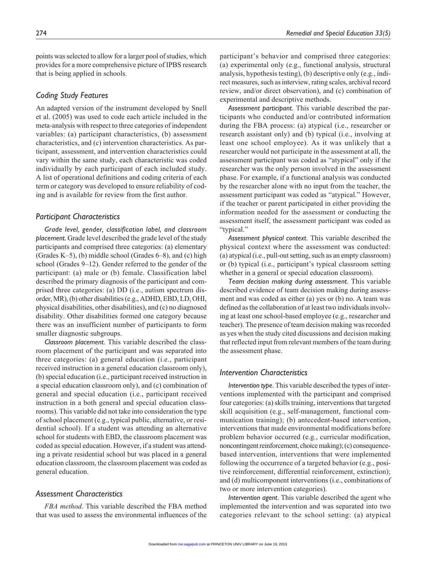points was selected to allow for a larger pool of studies, which provides for a more comprehensive picture of IPBS research that is being applied in schools.

## *Coding Study Features*

An adapted version of the instrument developed by Snell et al. (2005) was used to code each article included in the meta-analysis with respect to three categories of independent variables: (a) participant characteristics, (b) assessment characteristics, and (c) intervention characteristics. As participant, assessment, and intervention characteristics could vary within the same study, each characteristic was coded individually by each participant of each included study. A list of operational definitions and coding criteria of each term or category was developed to ensure reliability of coding and is available for review from the first author.

## *Participant Characteristics*

*Grade level, gender, classification label, and classroom placement*. Grade level described the grade level of the study participants and comprised three categories: (a) elementary (Grades K–5), (b) middle school (Grades  $6-8$ ), and (c) high school (Grades 9–12). Gender referred to the gender of the participant: (a) male or (b) female. Classification label described the primary diagnosis of the participant and comprised three categories: (a) DD (i.e., autism spectrum disorder, MR), (b) other disabilities (e.g., ADHD, EBD, LD, OHI, physical disabilities, other disabilities), and (c) no diagnosed disability. Other disabilities formed one category because there was an insufficient number of participants to form smaller diagnostic subgroups.

*Classroom placement*. This variable described the classroom placement of the participant and was separated into three categories: (a) general education (i.e., participant received instruction in a general education classroom only), (b) special education (i.e., participant received instruction in a special education classroom only), and (c) combination of general and special education (i.e., participant received instruction in a both general and special education classrooms). This variable did not take into consideration the type of school placement (e.g., typical public, alternative, or residential school). If a student was attending an alternative school for students with EBD, the classroom placement was coded as special education. However, if a student was attending a private residential school but was placed in a general education classroom, the classroom placement was coded as general education.

## *Assessment Characteristics*

*FBA method*. This variable described the FBA method that was used to assess the environmental influences of the participant's behavior and comprised three categories: (a) experimental only (e.g., functional analysis, structural analysis, hypothesis testing), (b) descriptive only (e.g., indirect measures, such as interview, rating scales, archival record review, and/or direct observation), and (c) combination of experimental and descriptive methods.

*Assessment participant*. This variable described the participants who conducted and/or contributed information during the FBA process: (a) atypical (i.e., researcher or research assistant only) and (b) typical (i.e., involving at least one school employee). As it was unlikely that a researcher would not participate in the assessment at all, the assessment participant was coded as "atypical" only if the researcher was the only person involved in the assessment phase. For example, if a functional analysis was conducted by the researcher alone with no input from the teacher, the assessment participant was coded as "atypical." However, if the teacher or parent participated in either providing the information needed for the assessment or conducting the assessment itself, the assessment participant was coded as "typical."

*Assessment physical context*. This variable described the physical context where the assessment was conducted: (a) atypical (i.e., pull-out setting, such as an empty classroom) or (b) typical (i.e., participant's typical classroom setting whether in a general or special education classroom).

*Team decision making during assessment*. This variable described evidence of team decision making during assessment and was coded as either (a) yes or (b) no. A team was defined as the collaboration of at least two individuals involving at least one school-based employee (e.g., researcher and teacher). The presence of team decision making was recorded as yes when the study cited discussions and decision making that reflected input from relevant members of the team during the assessment phase.

## *Intervention Characteristics*

*Intervention type*. This variable described the types of interventions implemented with the participant and comprised four categories: (a) skills training, interventions that targeted skill acquisition (e.g., self-management, functional communication training); (b) antecedent-based intervention, interventions that made environmental modifications before problem behavior occurred (e.g., curricular modification, noncontingent reinforcement, choice making); (c) consequencebased intervention, interventions that were implemented following the occurrence of a targeted behavior (e.g., positive reinforcement, differential reinforcement, extinction); and (d) multicomponent interventions (i.e., combinations of two or more intervention categories).

*Intervention agent*. This variable described the agent who implemented the intervention and was separated into two categories relevant to the school setting: (a) atypical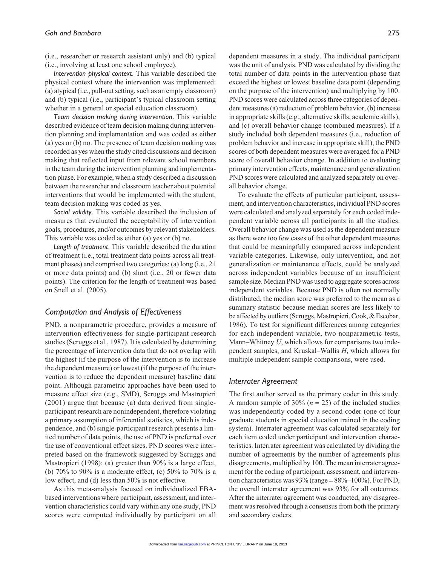(i.e., researcher or research assistant only) and (b) typical (i.e., involving at least one school employee).

*Intervention physical context*. This variable described the physical context where the intervention was implemented: (a) atypical (i.e., pull-out setting, such as an empty classroom) and (b) typical (i.e., participant's typical classroom setting whether in a general or special education classroom).

*Team decision making during intervention*. This variable described evidence of team decision making during intervention planning and implementation and was coded as either (a) yes or (b) no. The presence of team decision making was recorded as yes when the study cited discussions and decision making that reflected input from relevant school members in the team during the intervention planning and implementation phase. For example, when a study described a discussion between the researcher and classroom teacher about potential interventions that would be implemented with the student, team decision making was coded as yes.

*Social validity*. This variable described the inclusion of measures that evaluated the acceptability of intervention goals, procedures, and/or outcomes by relevant stakeholders. This variable was coded as either (a) yes or (b) no.

*Length of treatment*. This variable described the duration of treatment (i.e., total treatment data points across all treatment phases) and comprised two categories: (a) long (i.e., 21 or more data points) and (b) short (i.e., 20 or fewer data points). The criterion for the length of treatment was based on Snell et al. (2005).

## *Computation and Analysis of Effectiveness*

PND, a nonparametric procedure, provides a measure of intervention effectiveness for single-participant research studies (Scruggs et al., 1987). It is calculated by determining the percentage of intervention data that do not overlap with the highest (if the purpose of the intervention is to increase the dependent measure) or lowest (if the purpose of the intervention is to reduce the dependent measure) baseline data point. Although parametric approaches have been used to measure effect size (e.g., SMD), Scruggs and Mastropieri (2001) argue that because (a) data derived from singleparticipant research are nonindependent, therefore violating a primary assumption of inferential statistics, which is independence, and (b) single-participant research presents a limited number of data points, the use of PND is preferred over the use of conventional effect sizes. PND scores were interpreted based on the framework suggested by Scruggs and Mastropieri (1998): (a) greater than 90% is a large effect, (b) 70% to 90% is a moderate effect, (c) 50% to 70% is a low effect, and (d) less than 50% is not effective.

As this meta-analysis focused on individualized FBAbased interventions where participant, assessment, and intervention characteristics could vary within any one study, PND scores were computed individually by participant on all

dependent measures in a study. The individual participant was the unit of analysis. PND was calculated by dividing the total number of data points in the intervention phase that exceed the highest or lowest baseline data point (depending on the purpose of the intervention) and multiplying by 100. PND scores were calculated across three categories of dependent measures (a) reduction of problem behavior, (b) increase in appropriate skills (e.g., alternative skills, academic skills), and (c) overall behavior change (combined measures). If a study included both dependent measures (i.e., reduction of problem behavior and increase in appropriate skill), the PND scores of both dependent measures were averaged for a PND score of overall behavior change. In addition to evaluating primary intervention effects, maintenance and generalization PND scores were calculated and analyzed separately on overall behavior change.

To evaluate the effects of particular participant, assessment, and intervention characteristics, individual PND scores were calculated and analyzed separately for each coded independent variable across all participants in all the studies. Overall behavior change was used as the dependent measure as there were too few cases of the other dependent measures that could be meaningfully compared across independent variable categories. Likewise, only intervention, and not generalization or maintenance effects, could be analyzed across independent variables because of an insufficient sample size. Median PND was used to aggregate scores across independent variables. Because PND is often not normally distributed, the median score was preferred to the mean as a summary statistic because median scores are less likely to be affected by outliers (Scruggs, Mastropieri, Cook, & Escobar, 1986). To test for significant differences among categories for each independent variable, two nonparametric tests, Mann–Whitney *U*, which allows for comparisons two independent samples, and Kruskal–Wallis *H*, which allows for multiple independent sample comparisons, were used.

## *Interrater Agreement*

The first author served as the primary coder in this study. A random sample of  $30\%$  ( $n = 25$ ) of the included studies was independently coded by a second coder (one of four graduate students in special education trained in the coding system). Interrater agreement was calculated separately for each item coded under participant and intervention characteristics. Interrater agreement was calculated by dividing the number of agreements by the number of agreements plus disagreements, multiplied by 100. The mean interrater agreement for the coding of participant, assessment, and intervention characteristics was 93% (range = 88%–100%). For PND, the overall interrater agreement was 93% for all outcomes. After the interrater agreement was conducted, any disagreement was resolved through a consensus from both the primary and secondary coders.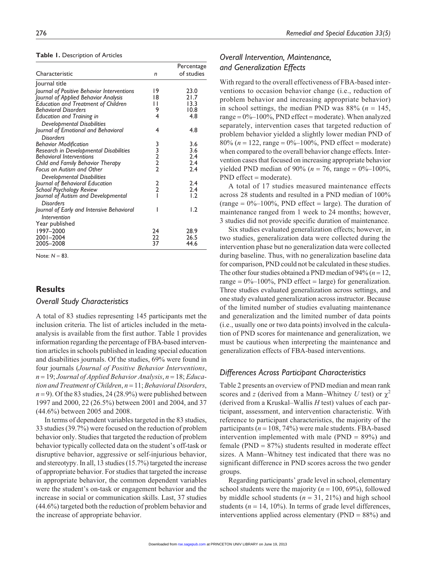**Table 1.** Description of Articles

|                                            |               | Percentage |  |
|--------------------------------------------|---------------|------------|--|
| Characteristic                             | n             | of studies |  |
| Journal title                              |               |            |  |
| Journal of Positive Behavior Interventions | 19            | 23.0       |  |
| Journal of Applied Behavior Analysis       | 18            | 21.7       |  |
| <b>Education and Treatment of Children</b> | П             | 13.3       |  |
| <b>Behavioral Disorders</b>                | 9             | 10.8       |  |
| <b>Education and Training in</b>           | 4             | 4.8        |  |
| Developmental Disabilities                 |               |            |  |
| Journal of Emotional and Behavioral        | 4             | 4.8        |  |
| <b>Disorders</b>                           |               |            |  |
| <b>Behavior Modification</b>               |               | 3.6        |  |
| Research in Developmental Disabilities     | 3322          | 3.6        |  |
| <b>Behavioral Interventions</b>            |               | 2.4        |  |
| Child and Family Behavior Therapy          |               | 2.4        |  |
| Focus on Autism and Other                  |               | 2.4        |  |
| Developmental Disabilities                 |               |            |  |
| Journal of Behavioral Education            |               | 2.4        |  |
| School Psychology Review                   | $\frac{2}{2}$ | 2.4        |  |
| Journal of Autism and Developmental        |               | 1.2        |  |
| Disorders                                  |               |            |  |
| Journal of Early and Intensive Behavioral  |               | 1.2        |  |
| Intervention                               |               |            |  |
| Year published                             |               |            |  |
| 1997-2000                                  | 24            | 28.9       |  |
| 2001-2004                                  | 22            | 26.5       |  |
| 2005-2008                                  | 37            | 44.6       |  |

Note: *N* = 83.

## **Results**

## *Overall Study Characteristics*

A total of 83 studies representing 145 participants met the inclusion criteria. The list of articles included in the metaanalysis is available from the first author. Table 1 provides information regarding the percentage of FBA-based intervention articles in schools published in leading special education and disabilities journals. Of the studies, 69% were found in four journals (*Journal of Positive Behavior Interventions*, *n* = 19; *Journal of Applied Behavior Analysis*, *n* = 18; *Education and Treatment of Children*, *n* = 11; *Behavioral Disorders*,  $n = 9$ ). Of the 83 studies, 24 (28.9%) were published between 1997 and 2000, 22 (26.5%) between 2001 and 2004, and 37 (44.6%) between 2005 and 2008.

In terms of dependent variables targeted in the 83 studies, 33 studies (39.7%) were focused on the reduction of problem behavior only. Studies that targeted the reduction of problem behavior typically collected data on the student's off-task or disruptive behavior, aggressive or self-injurious behavior, and stereotypy. In all, 13 studies (15.7%) targeted the increase of appropriate behavior. For studies that targeted the increase in appropriate behavior, the common dependent variables were the student's on-task or engagement behavior and the increase in social or communication skills. Last, 37 studies (44.6%) targeted both the reduction of problem behavior and the increase of appropriate behavior.

## *Overall Intervention, Maintenance, and Generalization Effects*

With regard to the overall effectiveness of FBA-based interventions to occasion behavior change (i.e., reduction of problem behavior and increasing appropriate behavior) in school settings, the median PND was  $88\%$  ( $n = 145$ , range  $= 0\% - 100\%$ , PND effect = moderate). When analyzed separately, intervention cases that targeted reduction of problem behavior yielded a slightly lower median PND of 80% ( $n = 122$ , range = 0%–100%, PND effect = moderate) when compared to the overall behavior change effects. Intervention cases that focused on increasing appropriate behavior yielded PND median of 90% ( $n = 76$ , range = 0%–100%, PND effect = moderate).

A total of 17 studies measured maintenance effects across 28 students and resulted in a PND median of 100% (range  $= 0\% - 100\%$ , PND effect  $= \text{large}$ ). The duration of maintenance ranged from 1 week to 24 months; however, 3 studies did not provide specific duration of maintenance.

Six studies evaluated generalization effects; however, in two studies, generalization data were collected during the intervention phase but no generalization data were collected during baseline. Thus, with no generalization baseline data for comparison, PND could not be calculated in these studies. The other four studies obtained a PND median of 94% (*n* = 12, range =  $0\%$ -100%, PND effect = large) for generalization. Three studies evaluated generalization across settings, and one study evaluated generalization across instructor. Because of the limited number of studies evaluating maintenance and generalization and the limited number of data points (i.e., usually one or two data points) involved in the calculation of PND scores for maintenance and generalization, we must be cautious when interpreting the maintenance and generalization effects of FBA-based interventions.

## *Differences Across Participant Characteristics*

Table 2 presents an overview of PND median and mean rank scores and *z* (derived from a Mann–Whitney *U* test) or  $\chi^2$ (derived from a Kruskal–Wallis *H* test) values of each participant, assessment, and intervention characteristic. With reference to participant characteristics, the majority of the participants ( $n = 108, 74\%$ ) were male students. FBA-based intervention implemented with male  $(PND = 89\%)$  and female (PND  $= 87\%$ ) students resulted in moderate effect sizes. A Mann–Whitney test indicated that there was no significant difference in PND scores across the two gender groups.

Regarding participants' grade level in school, elementary school students were the majority ( $n = 100, 69\%$ ), followed by middle school students ( $n = 31, 21\%$ ) and high school students ( $n = 14$ , 10%). In terms of grade level differences, interventions applied across elementary  $(PND = 88%)$  and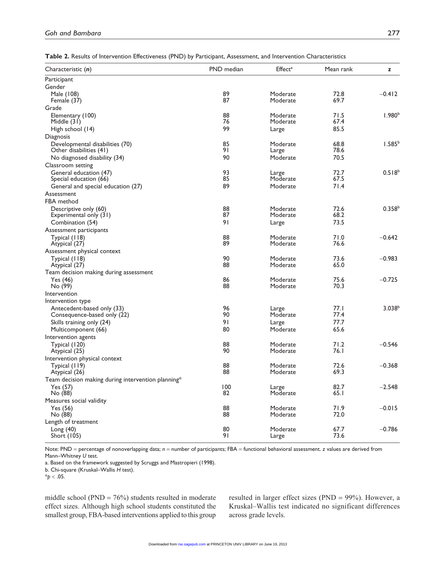| Table 2. Results of Intervention Effectiveness (PND) by Participant, Assessment, and Intervention Characteristics |  |  |  |  |  |
|-------------------------------------------------------------------------------------------------------------------|--|--|--|--|--|
|-------------------------------------------------------------------------------------------------------------------|--|--|--|--|--|

| Characteristic (n)                                 | PND median | Effect <sup>a</sup> | Mean rank | z                  |
|----------------------------------------------------|------------|---------------------|-----------|--------------------|
| Participant                                        |            |                     |           |                    |
| Gender                                             |            |                     |           |                    |
| Male (108)                                         | 89         | Moderate            | 72.8      | $-0.412$           |
| Female (37)                                        | 87         | Moderate            | 69.7      |                    |
| Grade                                              |            |                     |           |                    |
| Elementary (100)                                   | 88         | Moderate            | 71.5      | 1.980 <sup>b</sup> |
| Middle (31)                                        | 76         | Moderate            | 67.4      |                    |
| High school (14)                                   | 99         | Large               | 85.5      |                    |
| Diagnosis                                          |            |                     |           |                    |
| Developmental disabilities (70)                    | 85         | Moderate            | 68.8      | $1.585^{b}$        |
| Other disabilities (41)                            | 91         | Large               | 78.6      |                    |
| No diagnosed disability (34)                       | 90         | Moderate            | 70.5      |                    |
| Classroom setting                                  |            |                     |           |                    |
| General education (47)                             | 93         | Large               | 72.7      | $0.518^{b}$        |
| Special education (66)                             | 85         | Moderate            | 67.5      |                    |
| General and special education (27)                 | 89         | Moderate            | 71.4      |                    |
| Assessment                                         |            |                     |           |                    |
| FBA method                                         |            |                     |           |                    |
| Descriptive only (60)                              | 88         | Moderate            | 72.6      | 0.358 <sup>b</sup> |
| Experimental only (31)                             | 87         | Moderate            | 68.2      |                    |
| Combination (54)                                   | 91         | Large               | 73.5      |                    |
| Assessment participants                            |            |                     |           |                    |
| Typical (118)                                      | 88         | Moderate            | 71.0      | $-0.642$           |
| Atypical (27)                                      | 89         | Moderate            | 76.6      |                    |
| Assessment physical context                        |            |                     |           |                    |
| Typical (118)                                      | 90         | Moderate            | 73.6      | $-0.983$           |
| Atypical (27)                                      | 88         | Moderate            | 65.0      |                    |
| Team decision making during assessment             |            |                     |           |                    |
| Yes (46)                                           | 86         | Moderate            | 75.6      | $-0.725$           |
| No (99)                                            | 88         | Moderate            | 70.3      |                    |
| Intervention                                       |            |                     |           |                    |
| Intervention type                                  |            |                     |           |                    |
| Antecedent-based only (33)                         | 96         | Large               | 77.1      | 3.038 <sup>b</sup> |
| Consequence-based only (22)                        | 90         | Moderate            | 77.4      |                    |
| Skills training only (24)                          | 91         | Large               | 77.7      |                    |
| Multicomponent (66)                                | 80         | Moderate            | 65.6      |                    |
| Intervention agents                                |            |                     |           |                    |
| Typical (120)                                      | 88         | Moderate            | 71.2      | $-0.546$           |
| Atypical (25)                                      | 90         | Moderate            | 76. I     |                    |
| Intervention physical context                      |            |                     |           |                    |
| Typical (119)                                      | 88         | Moderate            | 72.6      | $-0.368$           |
| Atypical (26)                                      | 88         | Moderate            | 69.3      |                    |
| Team decision making during intervention planning* |            |                     |           |                    |
| Yes (57)                                           | 100        | Large               | 82.7      | $-2.548$           |
| No (88)                                            | 82         | Moderate            | 65.1      |                    |
| Measures social validity                           |            |                     |           |                    |
| Yes (56)                                           | 88         | Moderate            | 71.9      | $-0.015$           |
| No (88)                                            | 88         | Moderate            | 72.0      |                    |
| Length of treatment                                |            |                     |           |                    |
| Long $(40)$                                        | 80         | Moderate            | 67.7      | $-0.786$           |
| Short $(105)$                                      | 91         | Large               | 73.6      |                    |

Note: PND = percentage of nonoverlapping data;  $n =$  number of participants; FBA = functional behavioral assessment. *z* values are derived from Mann–Whitney *U* test.

a. Based on the framework suggested by Scruggs and Mastropieri (1998).

b. Chi-square (Kruskal–Wallis *H* test).

\**p* < .05.

middle school ( $PND = 76\%$ ) students resulted in moderate effect sizes. Although high school students constituted the smallest group, FBA-based interventions applied to this group

resulted in larger effect sizes (PND = 99%). However, a Kruskal–Wallis test indicated no significant differences across grade levels.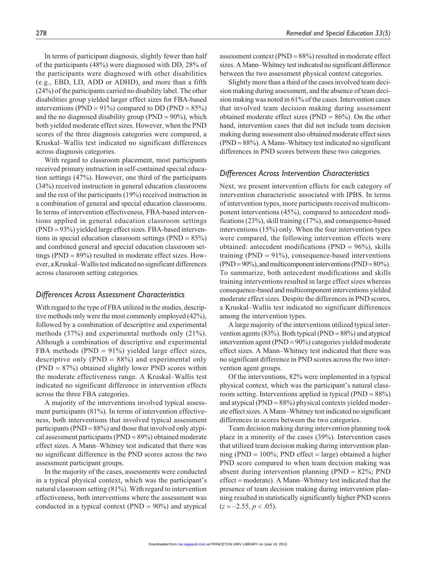In terms of participant diagnosis, slightly fewer than half of the participants (48%) were diagnosed with DD, 28% of the participants were diagnosed with other disabilities (e.g., EBD, LD, ADD or ADHD), and more than a fifth (24%) of the participants carried no disability label. The other disabilities group yielded larger effect sizes for FBA-based interventions (PND =  $91\%$ ) compared to DD (PND =  $85\%$ ) and the no diagnosed disability group  $(PND = 90\%)$ , which both yielded moderate effect sizes. However, when the PND scores of the three diagnosis categories were compared, a Kruskal–Wallis test indicated no significant differences across diagnosis categories.

With regard to classroom placement, most participants received primary instruction in self-contained special education settings (47%). However, one third of the participants (34%) received instruction in general education classrooms and the rest of the participants (19%) received instruction in a combination of general and special education classrooms. In terms of intervention effectiveness, FBA-based interventions applied in general education classroom settings (PND = 93%) yielded large effect sizes. FBA-based interventions in special education classroom settings (PND = 85%) and combined general and special education classroom settings (PND = 89%) resulted in moderate effect sizes. However, a Kruskal–Wallis test indicated no significant differences across classroom setting categories.

## *Differences Across Assessment Characteristics*

With regard to the type of FBA utilized in the studies, descriptive methods only were the most commonly employed (42%), followed by a combination of descriptive and experimental methods (37%) and experimental methods only (21%). Although a combination of descriptive and experimental FBA methods ( $PND = 91\%$ ) yielded large effect sizes, descriptive only ( $PND = 88\%$ ) and experimental only  $(PND = 87%)$  obtained slightly lower PND scores within the moderate effectiveness range. A Kruskal–Wallis test indicated no significant difference in intervention effects across the three FBA categories.

A majority of the interventions involved typical assessment participants (81%). In terms of intervention effectiveness, both interventions that involved typical assessment participants ( $PND = 88\%$ ) and those that involved only atypical assessment participants (PND = 89%) obtained moderate effect sizes. A Mann–Whitney test indicated that there was no significant difference in the PND scores across the two assessment participant groups.

In the majority of the cases, assessments were conducted in a typical physical context, which was the participant's natural classroom setting (81%). With regard to intervention effectiveness, both interventions where the assessment was conducted in a typical context  $(PND = 90\%)$  and atypical assessment context ( $PND = 88\%$ ) resulted in moderate effect sizes. A Mann–Whitney test indicated no significant difference between the two assessment physical context categories.

Slightly more than a third of the cases involved team decision making during assessment, and the absence of team decision making was noted in 61% of the cases. Intervention cases that involved team decision making during assessment obtained moderate effect sizes (PND  $= 86\%$ ). On the other hand, intervention cases that did not include team decision making during assessment also obtained moderate effect sizes  $(PND = 88\%)$ . A Mann–Whitney test indicated no significant differences in PND scores between these two categories.

## *Differences Across Intervention Characteristics*

Next, we present intervention effects for each category of intervention characteristic associated with IPBS. In terms of intervention types, more participants received multicomponent interventions (45%), compared to antecedent modifications (23%), skill training (17%), and consequence-based interventions (15%) only. When the four intervention types were compared, the following intervention effects were obtained: antecedent modifications (PND = 96%), skills training (PND  $= 91\%$ ), consequence-based interventions  $(PND = 90\%)$ , and multicomponent interventions  $(PND = 80\%).$ To summarize, both antecedent modifications and skills training interventions resulted in large effect sizes whereas consequence-based and multicomponent interventions yielded moderate effect sizes. Despite the differences in PND scores, a Kruskal–Wallis test indicated no significant differences among the intervention types.

A large majority of the interventions utilized typical intervention agents (83%). Both typical (PND =  $88\%$ ) and atypical intervention agent (PND = 90%) categories yielded moderate effect sizes. A Mann–Whitney test indicated that there was no significant difference in PND scores across the two intervention agent groups.

Of the interventions, 82% were implemented in a typical physical context, which was the participant's natural classroom setting. Interventions applied in typical (PND = 88%) and atypical (PND = 88%) physical contexts yielded moderate effect sizes. A Mann–Whitney test indicated no significant differences in scores between the two categories.

Team decision making during intervention planning took place in a minority of the cases (39%). Intervention cases that utilized team decision making during intervention planning (PND =  $100\%$ ; PND effect = large) obtained a higher PND score compared to when team decision making was absent during intervention planning (PND = 82%; PND effect = moderate). A Mann–Whitney test indicated that the presence of team decision making during intervention planning resulted in statistically significantly higher PND scores  $(z = -2.55, p < .05)$ .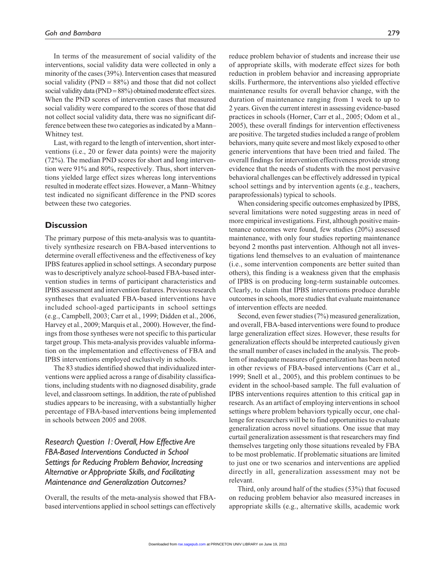In terms of the measurement of social validity of the interventions, social validity data were collected in only a minority of the cases (39%). Intervention cases that measured social validity ( $PND = 88\%$ ) and those that did not collect social validity data (PND = 88%) obtained moderate effect sizes. When the PND scores of intervention cases that measured social validity were compared to the scores of those that did not collect social validity data, there was no significant difference between these two categories as indicated by a Mann– Whitney test.

Last, with regard to the length of intervention, short interventions (i.e., 20 or fewer data points) were the majority (72%). The median PND scores for short and long intervention were 91% and 80%, respectively. Thus, short interventions yielded large effect sizes whereas long interventions resulted in moderate effect sizes. However, a Mann–Whitney test indicated no significant difference in the PND scores between these two categories.

## **Discussion**

The primary purpose of this meta-analysis was to quantitatively synthesize research on FBA-based interventions to determine overall effectiveness and the effectiveness of key IPBS features applied in school settings. A secondary purpose was to descriptively analyze school-based FBA-based intervention studies in terms of participant characteristics and IPBS assessment and intervention features. Previous research syntheses that evaluated FBA-based interventions have included school-aged participants in school settings (e.g., Campbell, 2003; Carr et al., 1999; Didden et al., 2006, Harvey et al., 2009; Marquis et al., 2000). However, the findings from those syntheses were not specific to this particular target group. This meta-analysis provides valuable information on the implementation and effectiveness of FBA and IPBS interventions employed exclusively in schools.

The 83 studies identified showed that individualized interventions were applied across a range of disability classifications, including students with no diagnosed disability, grade level, and classroom settings. In addition, the rate of published studies appears to be increasing, with a substantially higher percentage of FBA-based interventions being implemented in schools between 2005 and 2008.

## *Research Question 1: Overall, How Effective Are FBA-Based Interventions Conducted in School Settings for Reducing Problem Behavior, Increasing Alternative or Appropriate Skills, and Facilitating Maintenance and Generalization Outcomes?*

Overall, the results of the meta-analysis showed that FBAbased interventions applied in school settings can effectively reduce problem behavior of students and increase their use of appropriate skills, with moderate effect sizes for both reduction in problem behavior and increasing appropriate skills. Furthermore, the interventions also yielded effective maintenance results for overall behavior change, with the duration of maintenance ranging from 1 week to up to 2 years. Given the current interest in assessing evidence-based practices in schools (Horner, Carr et al., 2005; Odom et al., 2005), these overall findings for intervention effectiveness are positive. The targeted studies included a range of problem behaviors, many quite severe and most likely exposed to other generic interventions that have been tried and failed. The overall findings for intervention effectiveness provide strong evidence that the needs of students with the most pervasive behavioral challenges can be effectively addressed in typical school settings and by intervention agents (e.g., teachers, paraprofessionals) typical to schools.

When considering specific outcomes emphasized by IPBS, several limitations were noted suggesting areas in need of more empirical investigations. First, although positive maintenance outcomes were found, few studies (20%) assessed maintenance, with only four studies reporting maintenance beyond 2 months past intervention. Although not all investigations lend themselves to an evaluation of maintenance (i.e., some intervention components are better suited than others), this finding is a weakness given that the emphasis of IPBS is on producing long-term sustainable outcomes. Clearly, to claim that IPBS interventions produce durable outcomes in schools, more studies that evaluate maintenance of intervention effects are needed.

Second, even fewer studies (7%) measured generalization, and overall, FBA-based interventions were found to produce large generalization effect sizes. However, these results for generalization effects should be interpreted cautiously given the small number of cases included in the analysis. The problem of inadequate measures of generalization has been noted in other reviews of FBA-based interventions (Carr et al., 1999; Snell et al., 2005), and this problem continues to be evident in the school-based sample. The full evaluation of IPBS interventions requires attention to this critical gap in research. As an artifact of employing interventions in school settings where problem behaviors typically occur, one challenge for researchers will be to find opportunities to evaluate generalization across novel situations. One issue that may curtail generalization assessment is that researchers may find themselves targeting only those situations revealed by FBA to be most problematic. If problematic situations are limited to just one or two scenarios and interventions are applied directly in all, generalization assessment may not be relevant.

Third, only around half of the studies (53%) that focused on reducing problem behavior also measured increases in appropriate skills (e.g., alternative skills, academic work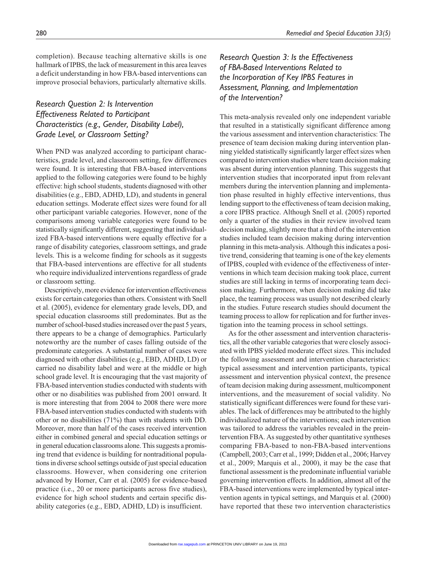completion). Because teaching alternative skills is one hallmark of IPBS, the lack of measurement in this area leaves a deficit understanding in how FBA-based interventions can improve prosocial behaviors, particularly alternative skills.

## *Research Question 2: Is Intervention Effectiveness Related to Participant Characteristics (e.g., Gender, Disability Label), Grade Level, or Classroom Setting?*

When PND was analyzed according to participant characteristics, grade level, and classroom setting, few differences were found. It is interesting that FBA-based interventions applied to the following categories were found to be highly effective: high school students, students diagnosed with other disabilities (e.g., EBD, ADHD, LD), and students in general education settings. Moderate effect sizes were found for all other participant variable categories. However, none of the comparisons among variable categories were found to be statistically significantly different, suggesting that individualized FBA-based interventions were equally effective for a range of disability categories, classroom settings, and grade levels. This is a welcome finding for schools as it suggests that FBA-based interventions are effective for all students who require individualized interventions regardless of grade or classroom setting.

Descriptively, more evidence for intervention effectiveness exists for certain categories than others. Consistent with Snell et al. (2005), evidence for elementary grade levels, DD, and special education classrooms still predominates. But as the number of school-based studies increased over the past 5 years, there appears to be a change of demographics. Particularly noteworthy are the number of cases falling outside of the predominate categories. A substantial number of cases were diagnosed with other disabilities (e.g., EBD, ADHD, LD) or carried no disability label and were at the middle or high school grade level. It is encouraging that the vast majority of FBA-based intervention studies conducted with students with other or no disabilities was published from 2001 onward. It is more interesting that from 2004 to 2008 there were more FBA-based intervention studies conducted with students with other or no disabilities (71%) than with students with DD. Moreover, more than half of the cases received intervention either in combined general and special education settings or in general education classrooms alone. This suggests a promising trend that evidence is building for nontraditional populations in diverse school settings outside of just special education classrooms. However, when considering one criterion advanced by Horner, Carr et al. (2005) for evidence-based practice (i.e., 20 or more participants across five studies), evidence for high school students and certain specific disability categories (e.g., EBD, ADHD, LD) is insufficient.

## *Research Question 3: Is the Effectiveness of FBA-Based Interventions Related to the Incorporation of Key IPBS Features in Assessment, Planning, and Implementation of the Intervention?*

This meta-analysis revealed only one independent variable that resulted in a statistically significant difference among the various assessment and intervention characteristics: The presence of team decision making during intervention planning yielded statistically significantly larger effect sizes when compared to intervention studies where team decision making was absent during intervention planning. This suggests that intervention studies that incorporated input from relevant members during the intervention planning and implementation phase resulted in highly effective interventions, thus lending support to the effectiveness of team decision making, a core IPBS practice. Although Snell et al. (2005) reported only a quarter of the studies in their review involved team decision making, slightly more that a third of the intervention studies included team decision making during intervention planning in this meta-analysis. Although this indicates a positive trend, considering that teaming is one of the key elements of IPBS, coupled with evidence of the effectiveness of interventions in which team decision making took place, current studies are still lacking in terms of incorporating team decision making. Furthermore, when decision making did take place, the teaming process was usually not described clearly in the studies. Future research studies should document the teaming process to allow for replication and for further investigation into the teaming process in school settings.

As for the other assessment and intervention characteristics, all the other variable categories that were closely associated with IPBS yielded moderate effect sizes. This included the following assessment and intervention characteristics: typical assessment and intervention participants, typical assessment and intervention physical context, the presence of team decision making during assessment, multicomponent interventions, and the measurement of social validity. No statistically significant differences were found for these variables. The lack of differences may be attributed to the highly individualized nature of the interventions; each intervention was tailored to address the variables revealed in the preintervention FBA. As suggested by other quantitative syntheses comparing FBA-based to non-FBA-based interventions (Campbell, 2003; Carr et al., 1999; Didden et al., 2006; Harvey et al., 2009; Marquis et al., 2000), it may be the case that functional assessment is the predominate influential variable governing intervention effects. In addition, almost all of the FBA-based interventions were implemented by typical intervention agents in typical settings, and Marquis et al. (2000) have reported that these two intervention characteristics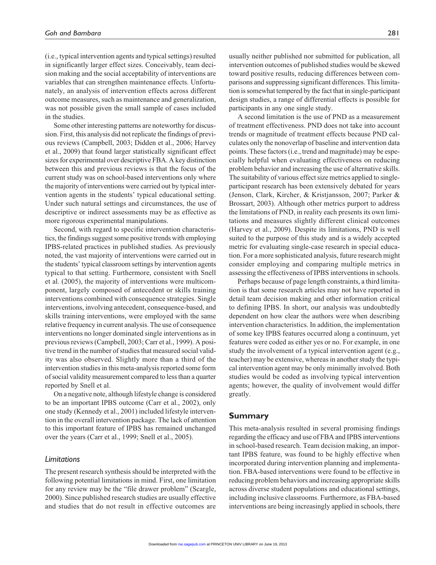(i.e., typical intervention agents and typical settings) resulted in significantly larger effect sizes. Conceivably, team decision making and the social acceptability of interventions are variables that can strengthen maintenance effects. Unfortunately, an analysis of intervention effects across different outcome measures, such as maintenance and generalization, was not possible given the small sample of cases included in the studies.

Some other interesting patterns are noteworthy for discussion. First, this analysis did not replicate the findings of previous reviews (Campbell, 2003; Didden et al., 2006; Harvey et al., 2009) that found larger statistically significant effect sizes for experimental over descriptive FBA. A key distinction between this and previous reviews is that the focus of the current study was on school-based interventions only where the majority of interventions were carried out by typical intervention agents in the students' typical educational setting. Under such natural settings and circumstances, the use of descriptive or indirect assessments may be as effective as more rigorous experimental manipulations.

Second, with regard to specific intervention characteristics, the findings suggest some positive trends with employing IPBS-related practices in published studies. As previously noted, the vast majority of interventions were carried out in the students' typical classroom settings by intervention agents typical to that setting. Furthermore, consistent with Snell et al. (2005), the majority of interventions were multicomponent, largely composed of antecedent or skills training interventions combined with consequence strategies. Single interventions, involving antecedent, consequence-based, and skills training interventions, were employed with the same relative frequency in current analysis. The use of consequence interventions no longer dominated single interventions as in previous reviews (Campbell, 2003; Carr et al., 1999). A positive trend in the number of studies that measured social validity was also observed. Slightly more than a third of the intervention studies in this meta-analysis reported some form of social validity measurement compared to less than a quarter reported by Snell et al.

On a negative note, although lifestyle change is considered to be an important IPBS outcome (Carr et al., 2002), only one study (Kennedy et al., 2001) included lifestyle intervention in the overall intervention package. The lack of attention to this important feature of IPBS has remained unchanged over the years (Carr et al., 1999; Snell et al., 2005).

## *Limitations*

The present research synthesis should be interpreted with the following potential limitations in mind. First, one limitation for any review may be the "file drawer problem" (Scargle, 2000). Since published research studies are usually effective and studies that do not result in effective outcomes are usually neither published nor submitted for publication, all intervention outcomes of published studies would be skewed toward positive results, reducing differences between comparisons and suppressing significant differences. This limitation is somewhat tempered by the fact that in single-participant design studies, a range of differential effects is possible for participants in any one single study.

A second limitation is the use of PND as a measurement of treatment effectiveness. PND does not take into account trends or magnitude of treatment effects because PND calculates only the nonoverlap of baseline and intervention data points. These factors (i.e., trend and magnitude) may be especially helpful when evaluating effectiveness on reducing problem behavior and increasing the use of alternative skills. The suitability of various effect size metrics applied to singleparticipant research has been extensively debated for years (Jenson, Clark, Kircher, & Kristjansson, 2007; Parker & Brossart, 2003). Although other metrics purport to address the limitations of PND, in reality each presents its own limitations and measures slightly different clinical outcomes (Harvey et al., 2009). Despite its limitations, PND is well suited to the purpose of this study and is a widely accepted metric for evaluating single-case research in special education. For a more sophisticated analysis, future research might consider employing and comparing multiple metrics in assessing the effectiveness of IPBS interventions in schools.

Perhaps because of page length constraints, a third limitation is that some research articles may not have reported in detail team decision making and other information critical to defining IPBS. In short, our analysis was undoubtedly dependent on how clear the authors were when describing intervention characteristics. In addition, the implementation of some key IPBS features occurred along a continuum, yet features were coded as either yes or no. For example, in one study the involvement of a typical intervention agent (e.g., teacher) may be extensive, whereas in another study the typical intervention agent may be only minimally involved. Both studies would be coded as involving typical intervention agents; however, the quality of involvement would differ greatly.

## **Summary**

This meta-analysis resulted in several promising findings regarding the efficacy and use of FBA and IPBS interventions in school-based research. Team decision making, an important IPBS feature, was found to be highly effective when incorporated during intervention planning and implementation. FBA-based interventions were found to be effective in reducing problem behaviors and increasing appropriate skills across diverse student populations and educational settings, including inclusive classrooms. Furthermore, as FBA-based interventions are being increasingly applied in schools, there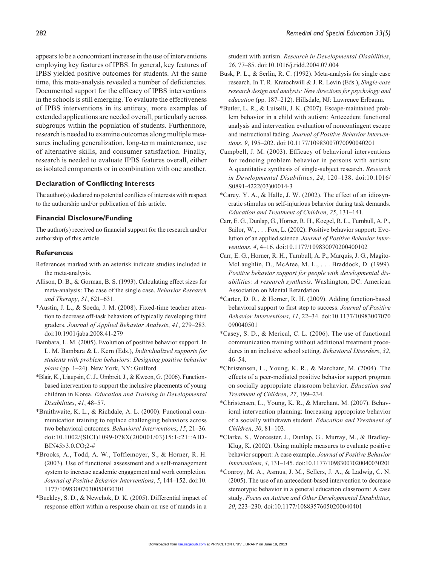appears to be a concomitant increase in the use of interventions employing key features of IPBS. In general, key features of IPBS yielded positive outcomes for students. At the same time, this meta-analysis revealed a number of deficiencies. Documented support for the efficacy of IPBS interventions in the schools is still emerging. To evaluate the effectiveness of IPBS interventions in its entirety, more examples of extended applications are needed overall, particularly across subgroups within the population of students. Furthermore, research is needed to examine outcomes along multiple measures including generalization, long-term maintenance, use of alternative skills, and consumer satisfaction. Finally, research is needed to evaluate IPBS features overall, either as isolated components or in combination with one another.

#### **Declaration of Conflicting Interests**

The author(s) declared no potential conflicts of interests with respect to the authorship and/or publication of this article.

#### **Financial Disclosure/Funding**

The author(s) received no financial support for the research and/or authorship of this article.

#### **References**

- References marked with an asterisk indicate studies included in the meta-analysis.
- Allison, D. B., & Gorman, B. S. (1993). Calculating effect sizes for meta-analysis: The case of the single case. *Behavior Research and Therapy*, *31*, 621–631.
- \*Austin, J. L., & Soeda, J. M. (2008). Fixed-time teacher attention to decrease off-task behaviors of typically developing third graders. *Journal of Applied Behavior Analysis*, *41*, 279–283. doi:10.1901/jaba.2008.41-279
- Bambara, L. M. (2005). Evolution of positive behavior support. In L. M. Bambara & L. Kern (Eds.), *Individualized supports for students with problem behaviors: Designing positive behavior plans* (pp*.* 1–24). New York, NY: Guilford.
- \*Blair, K., Liaupsin, C. J., Umbreit, J., & Kweon, G. (2006). Functionbased intervention to support the inclusive placements of young children in Korea. *Education and Training in Developmental Disabilities*, *41*, 48–57.
- \*Braithwaite, K. L., & Richdale, A. L. (2000). Functional communication training to replace challenging behaviors across two behavioral outcomes. *Behavioral Interventions*, *15*, 21–36. doi:10.1002/(SICI)1099-078X(200001/03)15:1<21::AID-BIN45>3.0.CO;2-#
- \*Brooks, A., Todd, A. W., Tofflemoyer, S., & Horner, R. H. (2003). Use of functional assessment and a self-management system to increase academic engagement and work completion. *Journal of Positive Behavior Interventions*, *5*, 144–152. doi:10. 1177/10983007030050030301
- \*Buckley, S. D., & Newchok, D. K. (2005). Differential impact of response effort within a response chain on use of mands in a

student with autism. *Research in Developmental Disabilities*, *26*, 77–85. doi:10.1016/j.ridd.2004.07.004

- Busk, P. L., & Serlin, R. C. (1992). Meta-analysis for single case research. In T. R. Kratochwill & J. R. Levin (Eds.), *Single-case research design and analysis: New directions for psychology and education* (pp. 187–212). Hillsdale, NJ: Lawrence Erlbaum.
- \*Butler, L. R., & Luiselli, J. K. (2007). Escape-maintained problem behavior in a child with autism: Antecedent functional analysis and intervention evaluation of noncontingent escape and instructional fading. *Journal of Positive Behavior Interventions*, *9*, 195–202. doi:10.1177/10983007070090040201
- Campbell, J. M. (2003). Efficacy of behavioral interventions for reducing problem behavior in persons with autism: A quantitative synthesis of single-subject research. *Research in Developmental Disabilities*, *24*, 120–138. doi:10.1016/ S0891-4222(03)00014-3
- \*Carey, Y. A., & Halle, J. W. (2002). The effect of an idiosyncratic stimulus on self-injurious behavior during task demands. *Education and Treatment of Children*, *25*, 131–141.
- Carr, E. G., Dunlap, G., Horner, R. H., Koegel, R. L., Turnbull, A. P., Sailor, W., . . . Fox, L. (2002). Positive behavior support: Evolution of an applied science. *Journal of Positive Behavior Interventions*, *4*, 4–16. doi:10.1177/109830070200400102
- Carr, E. G., Horner, R. H., Turnbull, A. P., Marquis, J. G., Magito-McLaughlin, D., McAtee, M. L., . . . Braddock, D. (1999). *Positive behavior support for people with developmental disabilities: A research synthesis.* Washington, DC: American Association on Mental Retardation.
- \*Carter, D. R., & Horner, R. H. (2009). Adding function-based behavioral support to first step to success. *Journal of Positive Behavior Interventions*, *11*, 22–34. doi:10.1177/10983007070 090040501
- \*Casey, S. D., & Merical, C. L. (2006). The use of functional communication training without additional treatment procedures in an inclusive school setting. *Behavioral Disorders*, *32*, 46–54.
- \*Christensen, L., Young, K. R., & Marchant, M. (2004). The effects of a peer-mediated positive behavior support program on socially appropriate classroom behavior. *Education and Treatment of Children*, *27*, 199–234.
- \*Christensen, L., Young, K. R., & Marchant, M. (2007). Behavioral intervention planning: Increasing appropriate behavior of a socially withdrawn student. *Education and Treatment of Children*, *30*, 81–103.
- \*Clarke, S., Worcester, J., Dunlap, G., Murray, M., & Bradley-Klug, K. (2002). Using multiple measures to evaluate positive behavior support: A case example. *Journal of Positive Behavior Interventions*, *4*, 131–145. doi:10.1177/10983007020040030201
- \*Conroy, M. A., Asmus, J. M., Sellers, J. A., & Ladwig, C. N. (2005). The use of an antecedent-based intervention to decrease stereotypic behavior in a general education classroom: A case study. *Focus on Autism and Other Developmental Disabilities*, *20*, 223–230. doi:10.1177/10883576050200040401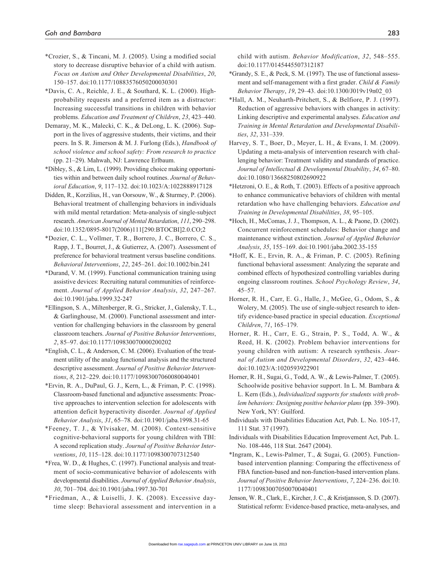- \*Crozier, S., & Tincani, M. J. (2005). Using a modified social story to decrease disruptive behavior of a child with autism. *Focus on Autism and Other Developmental Disabilities*, *20*, 150–157. doi:10.1177/10883576050200030301
- \*Davis, C. A., Reichle, J. E., & Southard, K. L. (2000). Highprobability requests and a preferred item as a distractor: Increasing successful transitions in children with behavior problems. *Education and Treatment of Children*, *23*, 423–440.
- Demaray, M. K., Malecki, C. K., & DeLong, L. K. (2006). Support in the lives of aggressive students, their victims, and their peers. In S. R. Jimerson & M. J. Furlong (Eds.), *Handbook of school violence and school safety: From research to practice* (pp. 21–29). Mahwah, NJ: Lawrence Erlbaum.
- \*Dibley, S., & Lim, L. (1999). Providing choice making opportunities within and between daily school routines. *Journal of Behavioral Education*, *9*, 117–132. doi:10.1023/A:1022888917128
- Didden, R., Korzilius, H., van Oorsouw, W., & Sturmey, P. (2006). Behavioral treatment of challenging behaviors in individuals with mild mental retardation: Meta-analysis of single-subject research. *American Journal of Mental Retardation*, *111*, 290–298. doi:10.1352/0895-8017(2006)111[290:BTOCBI]2.0.CO;2
- \*Dozier, C. L., Vollmer, T. R., Borrero, J. C., Borrero, C. S., Rapp, J. T., Bourret, J., & Gutierrez, A. (2007). Assessment of preference for behavioral treatment versus baseline conditions. *Behavioral Interventions*, *22*, 245–261. doi:10.1002/bin.241
- \*Durand, V. M. (1999). Functional communication training using assistive devices: Recruiting natural communities of reinforcement. *Journal of Applied Behavior Analysis*, *32*, 247–267. doi:10.1901/jaba.1999.32-247
- \*Ellingson, S. A., Miltenberger, R. G., Stricker, J., Galensky, T. L., & Garlinghouse, M. (2000). Functional assessment and intervention for challenging behaviors in the classroom by general classroom teachers. *Journal of Positive Behavior Interventions*, *2*, 85–97. doi:10.1177/109830070000200202
- \*English, C. L., & Anderson, C. M. (2006). Evaluation of the treatment utility of the analog functional analysis and the structured descriptive assessment. *Journal of Positive Behavior Interventions*, *8*, 212–229. doi:10.1177/10983007060080040401
- \*Ervin, R. A., DuPaul, G. J., Kern, L., & Friman, P. C. (1998). Classroom-based functional and adjunctive assessments: Proactive approaches to intervention selection for adolescents with attention deficit hyperactivity disorder. *Journal of Applied Behavior Analysis*, *31*, 65–78. doi:10.1901/jaba.1998.31-65
- \*Feeney, T. J., & Ylvisaker, M. (2008). Context-sensitive cognitive-behavioral supports for young children with TBI: A second replication study. *Journal of Positive Behavior Interventions*, *10*, 115–128. doi:10.1177/1098300707312540
- \*Frea, W. D., & Hughes, C. (1997). Functional analysis and treatment of socio-communicative behavior of adolescents with developmental disabilities. *Journal of Applied Behavior Analysis*, *30*, 701–704. doi:10.1901/jaba.1997.30-701
- \*Friedman, A., & Luiselli, J. K. (2008). Excessive daytime sleep: Behavioral assessment and intervention in a

child with autism. *Behavior Modification*, *32*, 548–555. doi:10.1177/0145445507312187

- \*Grandy, S. E., & Peck, S. M. (1997). The use of functional assessment and self-management with a first grader. *Child & Family Behavior Therapy*, *19*, 29–43. doi:10.1300/J019v19n02\_03
- \*Hall, A. M., Neuharth-Pritchett, S., & Belfiore, P. J. (1997). Reduction of aggressive behaviors with changes in activity: Linking descriptive and experimental analyses. *Education and Training in Mental Retardation and Developmental Disabilities*, *32*, 331–339.
- Harvey, S. T., Boer, D., Meyer, L. H., & Evans, I. M. (2009). Updating a meta-analysis of intervention research with challenging behavior: Treatment validity and standards of practice. *Journal of Intellectual & Developmental Disability*, *34*, 67–80. doi:10.1080/13668250802690922
- \*Hetzroni, O. E., & Roth, T. (2003). Effects of a positive approach to enhance communicative behaviors of children with mental retardation who have challenging behaviors. *Education and Training in Developmental Disabilities*, *38*, 95–105.
- \*Hoch, H., McComas, J. J., Thompson, A. L., & Paone, D. (2002). Concurrent reinforcement schedules: Behavior change and maintenance without extinction. *Journal of Applied Behavior Analysis*, *35*, 155–169. doi:10.1901/jaba.2002.35-155
- \*Hoff, K. E., Ervin, R. A., & Friman, P. C. (2005). Refining functional behavioral assessment: Analyzing the separate and combined effects of hypothesized controlling variables during ongoing classroom routines. *School Psychology Review*, *34*, 45–57.
- Horner, R. H., Carr, E. G., Halle, J., McGee, G., Odom, S., & Wolery, M. (2005). The use of single-subject research to identify evidence-based practice in special education. *Exceptional Children*, *71*, 165–179.
- Horner, R. H., Carr, E. G., Strain, P. S., Todd, A. W., & Reed, H. K. (2002). Problem behavior interventions for young children with autism: A research synthesis. *Journal of Autism and Developmental Disorders*, *32*, 423–446. doi:10.1023/A:1020593922901
- Horner, R. H., Sugai, G., Todd, A. W., & Lewis-Palmer, T. (2005). Schoolwide positive behavior support. In L. M. Bambara & L. Kern (Eds.), *Individualized supports for students with problem behaviors: Designing positive behavior plans* (pp*.* 359–390). New York, NY: Guilford.
- Individuals with Disabilities Education Act, Pub. L. No. 105-17, 111 Stat. 37 (1997).
- Individuals with Disabilities Education Improvement Act, Pub. L. No. 108-446, 118 Stat. 2647 (2004).
- \*Ingram, K., Lewis-Palmer, T., & Sugai, G. (2005). Functionbased intervention planning: Comparing the effectiveness of FBA function-based and non-function-based intervention plans. *Journal of Positive Behavior Interventions*, *7*, 224–236. doi:10. 1177/10983007050070040401
- Jenson, W. R., Clark, E., Kircher, J. C., & Kristjansson, S. D. (2007). Statistical reform: Evidence-based practice, meta-analyses, and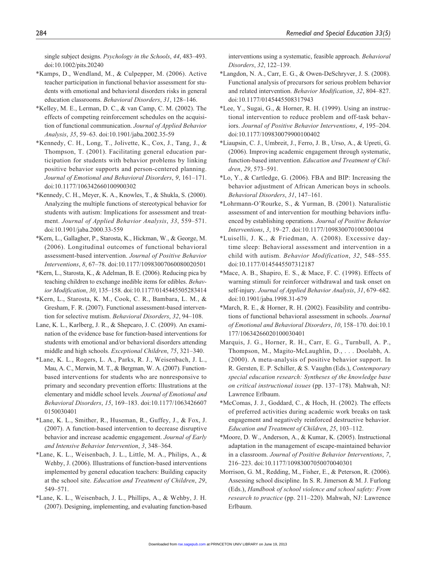single subject designs. *Psychology in the Schools*, *44*, 483–493. doi:10.1002/pits.20240

- \*Kamps, D., Wendland, M., & Culpepper, M. (2006). Active teacher participation in functional behavior assessment for students with emotional and behavioral disorders risks in general education classrooms. *Behavioral Disorders*, *31*, 128–146.
- \*Kelley, M. E., Lerman, D. C., & van Camp, C. M. (2002). The effects of competing reinforcement schedules on the acquisition of functional communication. *Journal of Applied Behavior Analysis*, *35*, 59–63. doi:10.1901/jaba.2002.35-59
- \*Kennedy, C. H., Long, T., Jolivette, K., Cox, J., Tang, J., & Thompson, T. (2001). Facilitating general education participation for students with behavior problems by linking positive behavior supports and person-centered planning. *Journal of Emotional and Behavioral Disorders*, *9*, 161–171. doi:10.1177/106342660100900302
- \*Kennedy, C. H., Meyer, K. A., Knowles, T., & Shukla, S. (2000). Analyzing the multiple functions of stereotypical behavior for students with autism: Implications for assessment and treatment. *Journal of Applied Behavior Analysis*, *33*, 559–571. doi:10.1901/jaba.2000.33-559
- \*Kern, L., Gallagher, P., Starosta, K., Hickman, W., & George, M. (2006). Longitudinal outcomes of functional behavioral assessment-based intervention. *Journal of Positive Behavior Interventions*, *8*, 67–78. doi:10.1177/10983007060080020501
- \*Kern, L., Starosta, K., & Adelman, B. E. (2006). Reducing pica by teaching children to exchange inedible items for edibles. *Behavior Modification*, *30*, 135–158. doi:10.1177/0145445505283414
- \*Kern, L., Starosta, K. M., Cook, C. R., Bambara, L. M., & Gresham, F. R. (2007). Functional assessment-based intervention for selective mutism. *Behavioral Disorders*, *32*, 94–108.
- Lane, K. L., Karlberg, J. R., & Shepcaro, J. C. (2009). An examination of the evidence base for function-based interventions for students with emotional and/or behavioral disorders attending middle and high schools. *Exceptional Children*, *75*, 321–340.
- \*Lane, K. L., Rogers, L. A., Parks, R. J., Weisenbach, J. L., Mau, A. C., Merwin, M. T., & Bergman, W. A. (2007). Functionbased interventions for students who are nonresponsive to primary and secondary prevention efforts: Illustrations at the elementary and middle school levels. *Journal of Emotional and Behavioral Disorders*, *15*, 169–183. doi:10.1177/1063426607 0150030401
- \*Lane, K. L., Smither, R., Huseman, R., Guffey, J., & Fox, J. (2007). A function-based intervention to decrease disruptive behavior and increase academic engagement. *Journal of Early and Intensive Behavior Intervention*, *3*, 348–364.
- \*Lane, K. L., Weisenbach, J. L., Little, M. A., Philips, A., & Wehby, J. (2006). Illustrations of function-based interventions implemented by general education teachers: Building capacity at the school site. *Education and Treatment of Children*, *29*, 549–571.
- \*Lane, K. L., Weisenbach, J. L., Phillips, A., & Wehby, J. H. (2007). Designing, implementing, and evaluating function-based

interventions using a systematic, feasible approach. *Behavioral Disorders*, *32*, 122–139.

- \*Langdon, N. A., Carr, E. G., & Owen-DeSchryver, J. S. (2008). Functional analysis of precursors for serious problem behavior and related intervention. *Behavior Modification*, *32*, 804–827. doi:10.1177/0145445508317943
- \*Lee, Y., Sugai, G., & Horner, R. H. (1999). Using an instructional intervention to reduce problem and off-task behaviors. *Journal of Positive Behavior Interventions*, *4*, 195–204. doi:10.1177/109830079900100402
- \*Liaupsin, C. J., Umbreit, J., Ferro, J. B., Urso, A., & Upreti, G. (2006). Improving academic engagement through systematic, function-based intervention. *Education and Treatment of Children*, *29*, 573–591.
- \*Lo, Y., & Cartledge, G. (2006). FBA and BIP: Increasing the behavior adjustment of African American boys in schools. *Behavioral Disorders*, *31*, 147–161.
- \*Lohrmann-O'Rourke, S., & Yurman, B. (2001). Naturalistic assessment of and intervention for mouthing behaviors influenced by establishing operations. *Journal of Positive Behavior Interventions*, *3*, 19–27. doi:10.1177/109830070100300104
- \*Luiselli, J. K., & Friedman, A. (2008). Excessive daytime sleep: Behavioral assessment and intervention in a child with autism. *Behavior Modification*, *32*, 548–555. doi:10.1177/0145445507312187
- \*Mace, A. B., Shapiro, E. S., & Mace, F. C. (1998). Effects of warning stimuli for reinforcer withdrawal and task onset on self-injury. *Journal of Applied Behavior Analysis*, *31*, 679–682. doi:10.1901/jaba.1998.31-679
- \*March, R. E., & Horner, R. H. (2002). Feasibility and contributions of functional behavioral assessment in schools. *Journal of Emotional and Behavioral Disorders*, *10*, 158–170. doi:10.1 177/10634266020100030401
- Marquis, J. G., Horner, R. H., Carr, E. G., Turnbull, A. P., Thompson, M., Magito-McLaughlin, D., . . . Doolabh, A. (2000). A meta-analysis of positive behavior support. In R. Gersten, E. P. Schiller, & S. Vaughn (Eds.), *Contemporary special education research: Syntheses of the knowledge base on critical instructional issues* (pp. 137–178). Mahwah, NJ: Lawrence Erlbaum.
- \*McComas, J. J., Goddard, C., & Hoch, H. (2002). The effects of preferred activities during academic work breaks on task engagement and negatively reinforced destructive behavior. *Education and Treatment of Children*, *25*, 103–112.
- \*Moore, D. W., Anderson, A., & Kumar, K. (2005). Instructional adaptation in the management of escape-maintained behavior in a classroom. *Journal of Positive Behavior Interventions*, *7*, 216–223. doi:10.1177/10983007050070040301
- Morrison, G. M., Redding, M., Fisher, E., & Peterson, R. (2006). Assessing school discipline. In S. R. Jimerson & M. J. Furlong (Eds.), *Handbook of school violence and school safety: From research to practice* (pp. 211–220). Mahwah, NJ: Lawrence Erlbaum.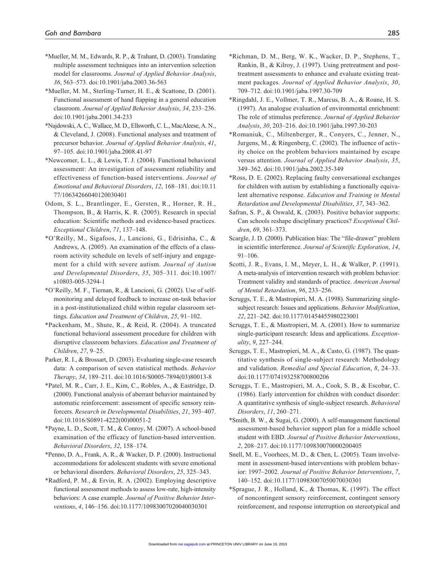- \*Mueller, M. M., Edwards, R. P., & Trahant, D. (2003). Translating multiple assessment techniques into an intervention selection model for classrooms. *Journal of Applied Behavior Analysis*, *36*, 563–573. doi:10.1901/jaba.2003.36-563
- \*Mueller, M. M., Sterling-Turner, H. E., & Scattone, D. (2001). Functional assessment of hand flapping in a general education classroom. *Journal of Applied Behavior Analysis*, *34*, 233–236. doi:10.1901/jaba.2001.34-233
- \*Najdowski, A. C., Wallace, M. D., Ellsworth, C. L., MacAleese, A. N., & Cleveland, J. (2008). Functional analyses and treatment of precursor behavior. *Journal of Applied Behavior Analysis*, *41*, 97–105. doi:10.1901/jaba.2008.41-97
- \*Newcomer, L. L., & Lewis, T. J. (2004). Functional behavioral assessment: An investigation of assessment reliability and effectiveness of function-based interventions. *Journal of Emotional and Behavioral Disorders*, *12*, 168–181. doi:10.11 77/10634266040120030401
- Odom, S. L., Brantlinger, E., Gersten, R., Horner, R. H., Thompson, B., & Harris, K. R. (2005). Research in special education: Scientific methods and evidence-based practices. *Exceptional Children*, *71*, 137–148.
- \*O'Reilly, M., Sigafoos, J., Lancioni, G., Edrisinha, C., & Andrews, A. (2005). An examination of the effects of a classroom activity schedule on levels of self-injury and engagement for a child with severe autism. *Journal of Autism and Developmental Disorders*, *35*, 305–311. doi:10.1007/ s10803-005-3294-1
- \*O'Reilly, M. F., Tiernan, R., & Lancioni, G. (2002). Use of selfmonitoring and delayed feedback to increase on-task behavior in a post-institutionalized child within regular classroom settings. *Education and Treatment of Children*, *25*, 91–102.
- \*Packenham, M., Shute, R., & Reid, R. (2004). A truncated functional behavioral assessment procedure for children with disruptive classroom behaviors. *Education and Treatment of Children*, *27*, 9–25.
- Parker, R. I., & Brossart, D. (2003). Evaluating single-case research data: A comparison of seven statistical methods. *Behavior Therapy*, *34*, 189–211. doi:10.1016/S0005-7894(03)80013-8
- \*Patel, M. R., Carr, J. E., Kim, C., Robles, A., & Eastridge, D. (2000). Functional analysis of aberrant behavior maintained by automatic reinforcement: assessment of specific sensory reinforcers. *Research in Developmental Disabilities*, *21*, 393–407. doi:10.1016/S0891-4222(00)00051-2
- \*Payne, L. D., Scott, T. M., & Conroy, M. (2007). A school-based examination of the efficacy of function-based intervention. *Behavioral Disorders*, *32*, 158–174.
- \*Penno, D. A., Frank, A. R., & Wacker, D. P. (2000). Instructional accommodations for adolescent students with severe emotional or behavioral disorders. *Behavioral Disorders*, *25*, 325–343.
- \*Radford, P. M., & Ervin, R. A. (2002). Employing descriptive functional assessment methods to assess low-rate, high-intensity behaviors: A case example. *Journal of Positive Behavior Interventions*, *4*, 146–156. doi:10.1177/10983007020040030301
- \*Richman, D. M., Berg, W. K., Wacker, D. P., Stephens, T., Rankin, B., & Kilroy, J. (1997). Using pretreatment and posttreatment assessments to enhance and evaluate existing treatment packages. *Journal of Applied Behavior Analysis*, *30*, 709–712. doi:10.1901/jaba.1997.30-709
- \*Ringdahl, J. E., Vollmer, T. R., Marcus, B. A., & Roane, H. S. (1997). An analogue evaluation of environmental enrichment: The role of stimulus preference. *Journal of Applied Behavior Analysis*, *30*, 203–216. doi:10.1901/jaba.1997.30-203
- \*Romaniuk, C., Miltenberger, R., Conyers, C., Jenner, N., Jurgens, M., & Ringenberg, C. (2002). The influence of activity choice on the problem behaviors maintained by escape versus attention. *Journal of Applied Behavior Analysis*, *35*, 349–362. doi:10.1901/jaba.2002.35-349
- \*Ross, D. E. (2002). Replacing faulty conversational exchanges for children with autism by establishing a functionally equivalent alternative response. *Education and Training in Mental Retardation and Developmental Disabilities*, *37*, 343–362.
- Safran, S. P., & Oswald, K. (2003). Positive behavior supports: Can schools reshape disciplinary practices? *Exceptional Children*, *69*, 361–373.
- Scargle, J. D. (2000). Publication bias: The "file-drawer" problem in scientific interference. *Journal of Scientific Exploration*, *14*, 91–106.
- Scotti, J. R., Evans, I. M., Meyer, L. H., & Walker, P. (1991). A meta-analysis of intervention research with problem behavior: Treatment validity and standards of practice. *American Journal of Mental Retardation*, *96*, 233–256.
- Scruggs, T. E., & Mastropieri, M. A. (1998). Summarizing singlesubject research: Issues and applications. *Behavior Modification*, *22*, 221–242. doi:10.1177/01454455980223001
- Scruggs, T. E., & Mastropieri, M. A. (2001). How to summarize single-participant research: Ideas and applications. *Exceptionality*, *9*, 227–244.
- Scruggs, T. E., Mastropieri, M. A., & Casto, G. (1987). The quantitative synthesis of single-subject research: Methodology and validation. *Remedial and Special Education*, *8*, 24–33. doi:10.1177/074193258700800206
- Scruggs, T. E., Mastropieri, M. A., Cook, S. B., & Escobar, C. (1986). Early intervention for children with conduct disorder: A quantitative synthesis of single-subject research. *Behavioral Disorders*, *11*, 260–271.
- \*Smith, B. W., & Sugai, G. (2000). A self-management functional assessment-based behavior support plan for a middle school student with EBD. *Journal of Positive Behavior Interventions*, *2*, 208–217. doi:10.1177/109830070000200405
- Snell, M. E., Voorhees, M. D., & Chen, L. (2005). Team involvement in assessment-based interventions with problem behavior: 1997–2002. *Journal of Positive Behavior Interventions*, *7*, 140–152. doi:10.1177/10983007050070030301
- \*Sprague, J. R., Holland, K., & Thomas, K. (1997). The effect of noncontingent sensory reinforcement, contingent sensory reinforcement, and response interruption on stereotypical and